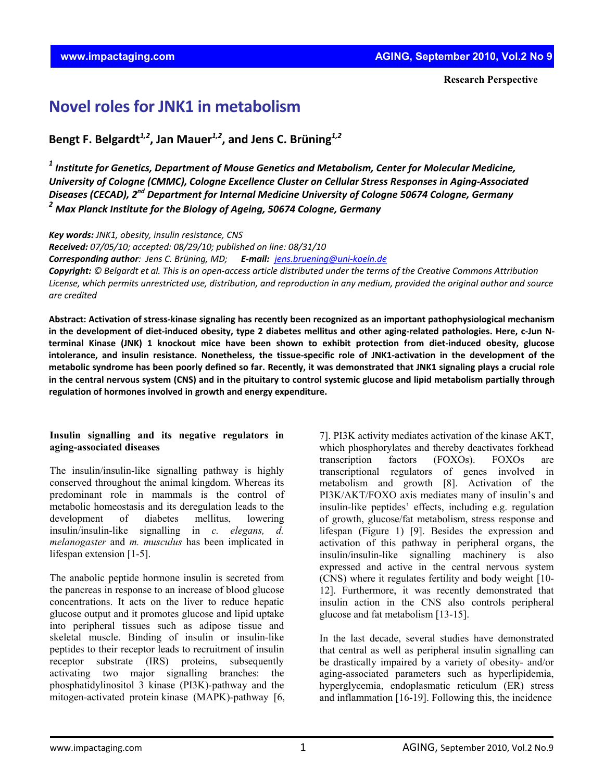## **Novel roles for JNK1 in metabolism**

**Bengt F. Belgardt***1,2***, Jan Mauer***1,2***, and Jens C. Brüning***1,2*

*<sup>1</sup> Institute for Genetics, Department of Mouse Genetics and Metabolism, Center for Molecular Medicine, University of Cologne (CMMC), Cologne Excellence Cluster on Cellular Stress Responses in Aging‐Associated Diseases (CECAD), 2nd Department for Internal Medicine University of Cologne 50674 Cologne, Germany <sup>2</sup> Max Planck Institute for the Biology of Ageing, 50674 Cologne, Germany*

*Key words: JNK1, obesity, insulin resistance, CNS*

*Received: 07/05/10; accepted: 08/29/10; published on line: 08/31/10*

*Corresponding author: Jens C. Brüning, MD; E‐mail: jens.bruening@uni‐koeln.de*

Copyright: © Belgardt et al. This is an open-access article distributed under the terms of the Creative Commons Attribution License, which permits unrestricted use, distribution, and reproduction in any medium, provided the original author and source *are credited*

Abstract: Activation of stress-kinase signaling has recently been recognized as an important pathophysiological mechanism in the development of diet-induced obesity, type 2 diabetes mellitus and other aging-related pathologies. Here, c-Jun Nterminal Kinase (JNK) 1 knockout mice have been shown to exhibit protection from diet-induced obesity, glucose intolerance, and insulin resistance. Nonetheless, the tissue-specific role of JNK1-activation in the development of the metabolic syndrome has been poorly defined so far. Recently, it was demonstrated that JNK1 signaling plays a crucial role in the central nervous system (CNS) and in the pituitary to control systemic glucose and lipid metabolism partially through **regulation of hormones involved in growth and energy expenditure.**

## **Insulin signalling and its negative regulators in aging-associated diseases**

The insulin/insulin-like signalling pathway is highly conserved throughout the animal kingdom. Whereas its predominant role in mammals is the control of metabolic homeostasis and its deregulation leads to the development of diabetes mellitus, lowering insulin/insulin-like signalling in *c. elegans, d. melanogaster* and *m. musculus* has been implicated in lifespan extension [1-5].

The anabolic peptide hormone insulin is secreted from the pancreas in response to an increase of blood glucose concentrations. It acts on the liver to reduce hepatic glucose output and it promotes glucose and lipid uptake into peripheral tissues such as adipose tissue and skeletal muscle. Binding of insulin or insulin-like peptides to their receptor leads to recruitment of insulin receptor substrate (IRS) proteins, subsequently activating two major signalling branches: the phosphatidylinositol 3 kinase (PI3K)-pathway and the mitogen-activated protein kinase (MAPK)-pathway [6,

7]. PI3K activity mediates activation of the kinase AKT, which phosphorylates and thereby deactivates forkhead transcription factors (FOXOs). FOXOs are transcriptional regulators of genes involved in metabolism and growth [8]. Activation of the PI3K/AKT/FOXO axis mediates many of insulin's and insulin-like peptides' effects, including e.g. regulation of growth, glucose/fat metabolism, stress response and lifespan (Figure 1) [9]. Besides the expression and activation of this pathway in peripheral organs, the insulin/insulin-like signalling machinery is also expressed and active in the central nervous system (CNS) where it regulates fertility and body weight [10- 12]. Furthermore, it was recently demonstrated that insulin action in the CNS also controls peripheral glucose and fat metabolism [13-15].

In the last decade, several studies have demonstrated that central as well as peripheral insulin signalling can be drastically impaired by a variety of obesity- and/or aging-associated parameters such as hyperlipidemia, hyperglycemia, endoplasmatic reticulum (ER) stress and inflammation [16-19]. Following this, the incidence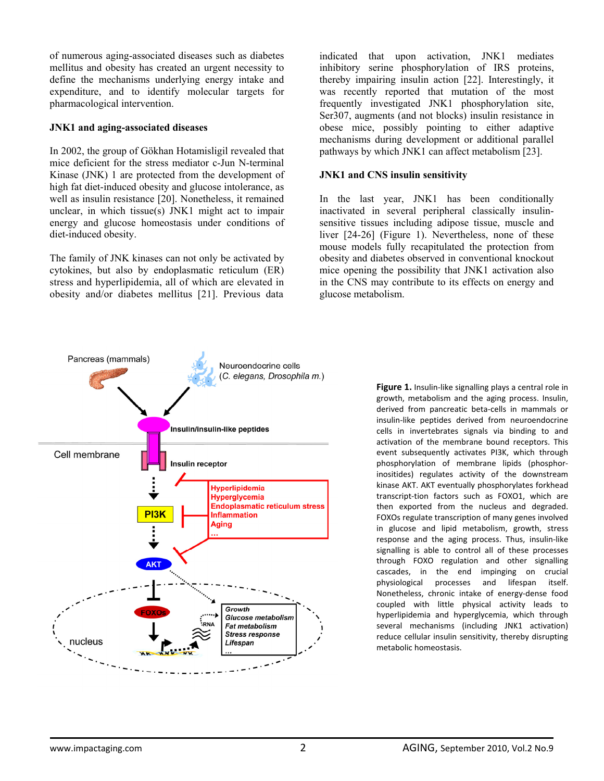of numerous aging-associated diseases such as diabetes mellitus and obesity has created an urgent necessity to define the mechanisms underlying energy intake and expenditure, and to identify molecular targets for pharmacological intervention.

## **JNK1 and aging-associated diseases**

In 2002, the group of Gökhan Hotamisligil revealed that mice deficient for the stress mediator c-Jun N-terminal Kinase (JNK) 1 are protected from the development of high fat diet-induced obesity and glucose intolerance, as well as insulin resistance [20]. Nonetheless, it remained unclear, in which tissue(s) JNK1 might act to impair energy and glucose homeostasis under conditions of diet-induced obesity.

The family of JNK kinases can not only be activated by cytokines, but also by endoplasmatic reticulum (ER) stress and hyperlipidemia, all of which are elevated in obesity and/or diabetes mellitus [21]. Previous data

indicated that upon activation, JNK1 mediates inhibitory serine phosphorylation of IRS proteins, thereby impairing insulin action [22]. Interestingly, it was recently reported that mutation of the most frequently investigated JNK1 phosphorylation site, Ser307, augments (and not blocks) insulin resistance in obese mice, possibly pointing to either adaptive mechanisms during development or additional parallel pathways by which JNK1 can affect metabolism [23].

## **JNK1 and CNS insulin sensitivity**

In the last year, JNK1 has been conditionally inactivated in several peripheral classically insulinsensitive tissues including adipose tissue, muscle and liver [24-26] (Figure 1). Nevertheless, none of these mouse models fully recapitulated the protection from obesity and diabetes observed in conventional knockout mice opening the possibility that JNK1 activation also in the CNS may contribute to its effects on energy and glucose metabolism.



**Figure 1.** Insulin‐like signalling plays a central role in growth, metabolism and the aging process. Insulin, derived from pancreatic beta‐cells in mammals or insulin‐like peptides derived from neuroendocrine cells in invertebrates signals via binding to and activation of the membrane bound receptors. This event subsequently activates PI3K, which through phosphorylation of membrane lipids (phosphor‐ inositides) regulates activity of the downstream kinase AKT. AKT eventually phosphorylates forkhead transcript‐tion factors such as FOXO1, which are then exported from the nucleus and degraded. FOXOs regulate transcription of many genes involved in glucose and lipid metabolism, growth, stress response and the aging process. Thus, insulin‐like signalling is able to control all of these processes through FOXO regulation and other signalling cascades, in the end impinging on crucial physiological processes and lifespan itself. Nonetheless, chronic intake of energy‐dense food coupled with little physical activity leads to hyperlipidemia and hyperglycemia, which through several mechanisms (including JNK1 activation) reduce cellular insulin sensitivity, thereby disrupting metabolic homeostasis.